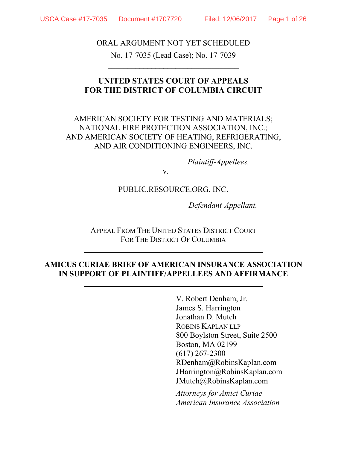ORAL ARGUMENT NOT YET SCHEDULED

No. 17-7035 (Lead Case); No. 17-7039  $\overline{\phantom{a}}$  , and the set of the set of the set of the set of the set of the set of the set of the set of the set of the set of the set of the set of the set of the set of the set of the set of the set of the set of the s

## **UNITED STATES COURT OF APPEALS FOR THE DISTRICT OF COLUMBIA CIRCUIT**

## AMERICAN SOCIETY FOR TESTING AND MATERIALS; NATIONAL FIRE PROTECTION ASSOCIATION, INC.; AND AMERICAN SOCIETY OF HEATING, REFRIGERATING, AND AIR CONDITIONING ENGINEERS, INC.

*Plaintiff-Appellees,*

v.

#### PUBLIC.RESOURCE.ORG, INC.

*Defendant-Appellant.*

APPEAL FROM THE UNITED STATES DISTRICT COURT FOR THE DISTRICT OF COLUMBIA

### **AMICUS CURIAE BRIEF OF AMERICAN INSURANCE ASSOCIATION IN SUPPORT OF PLAINTIFF/APPELLEES AND AFFIRMANCE**

V. Robert Denham, Jr. James S. Harrington Jonathan D. Mutch ROBINS KAPLAN LLP 800 Boylston Street, Suite 2500 Boston, MA 02199 (617) 267-2300 RDenham@RobinsKaplan.com JHarrington@RobinsKaplan.com JMutch@RobinsKaplan.com

*Attorneys for Amici Curiae American Insurance Association*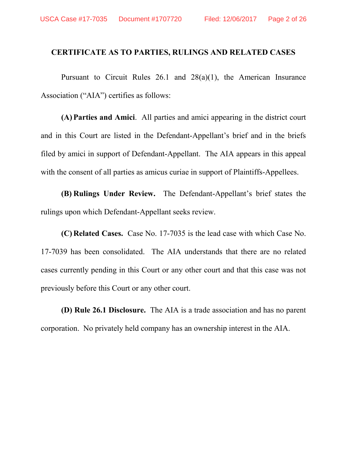### <span id="page-1-0"></span>**CERTIFICATE AS TO PARTIES, RULINGS AND RELATED CASES**

Pursuant to Circuit Rules 26.1 and 28(a)(1), the American Insurance Association ("AIA") certifies as follows:

**(A) Parties and Amici**. All parties and amici appearing in the district court and in this Court are listed in the Defendant-Appellant's brief and in the briefs filed by amici in support of Defendant-Appellant. The AIA appears in this appeal with the consent of all parties as amicus curiae in support of Plaintiffs-Appellees.

**(B) Rulings Under Review.** The Defendant-Appellant's brief states the rulings upon which Defendant-Appellant seeks review.

**(C) Related Cases.** Case No. 17-7035 is the lead case with which Case No. 17-7039 has been consolidated. The AIA understands that there are no related cases currently pending in this Court or any other court and that this case was not previously before this Court or any other court.

**(D) Rule 26.1 Disclosure.** The AIA is a trade association and has no parent corporation. No privately held company has an ownership interest in the AIA.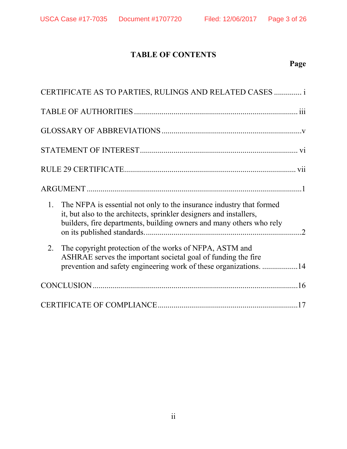# **TABLE OF CONTENTS**

# **Page**

|    | CERTIFICATE AS TO PARTIES, RULINGS AND RELATED CASES  i                                                                                                                                                             |  |  |  |
|----|---------------------------------------------------------------------------------------------------------------------------------------------------------------------------------------------------------------------|--|--|--|
|    |                                                                                                                                                                                                                     |  |  |  |
|    |                                                                                                                                                                                                                     |  |  |  |
|    |                                                                                                                                                                                                                     |  |  |  |
|    |                                                                                                                                                                                                                     |  |  |  |
|    |                                                                                                                                                                                                                     |  |  |  |
| 1. | The NFPA is essential not only to the insurance industry that formed<br>it, but also to the architects, sprinkler designers and installers,<br>builders, fire departments, building owners and many others who rely |  |  |  |
| 2. | The copyright protection of the works of NFPA, ASTM and<br>ASHRAE serves the important societal goal of funding the fire<br>prevention and safety engineering work of these organizations. 14                       |  |  |  |
|    |                                                                                                                                                                                                                     |  |  |  |
|    |                                                                                                                                                                                                                     |  |  |  |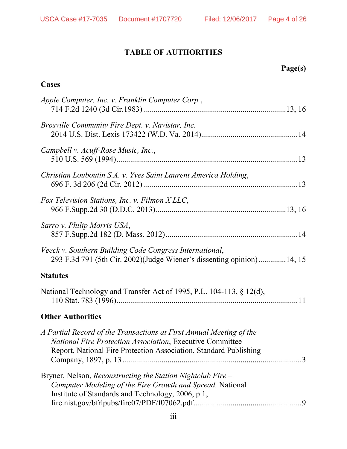# **TABLE OF AUTHORITIES**

# **Page(s)**

## <span id="page-3-0"></span>**Cases**

| Apple Computer, Inc. v. Franklin Computer Corp.,                                                                                                                                                      |
|-------------------------------------------------------------------------------------------------------------------------------------------------------------------------------------------------------|
| Brosville Community Fire Dept. v. Navistar, Inc.                                                                                                                                                      |
| Campbell v. Acuff-Rose Music, Inc.,                                                                                                                                                                   |
| Christian Louboutin S.A. v. Yves Saint Laurent America Holding,                                                                                                                                       |
| Fox Television Stations, Inc. v. Filmon XLLC,                                                                                                                                                         |
| Sarro v. Philip Morris USA,                                                                                                                                                                           |
| Veeck v. Southern Building Code Congress International,<br>293 F.3d 791 (5th Cir. 2002)(Judge Wiener's dissenting opinion)14, 15                                                                      |
| <b>Statutes</b>                                                                                                                                                                                       |
| National Technology and Transfer Act of 1995, P.L. 104-113, § 12(d),                                                                                                                                  |
| <b>Other Authorities</b>                                                                                                                                                                              |
| A Partial Record of the Transactions at First Annual Meeting of the<br>National Fire Protection Association, Executive Committee<br>Report, National Fire Protection Association, Standard Publishing |
| Bryner, Nelson, Reconstructing the Station Nightclub Fire –<br>Computer Modeling of the Fire Growth and Spread, National<br>Institute of Standards and Technology, 2006, p.1,                         |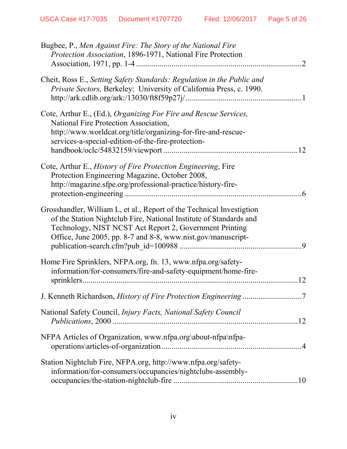| Bugbee, P., Men Against Fire: The Story of the National Fire<br>Protection Association, 1896-1971, National Fire Protection                                                                                                                                                       |
|-----------------------------------------------------------------------------------------------------------------------------------------------------------------------------------------------------------------------------------------------------------------------------------|
| $\cdot$ 2                                                                                                                                                                                                                                                                         |
| Cheit, Ross E., Setting Safety Standards: Regulation in the Public and<br>Private Sectors, Berkeley: University of California Press, c. 1990.                                                                                                                                     |
| Cote, Arthur E., (Ed.), Organizing For Fire and Rescue Services,<br>National Fire Protection Association,<br>http://www.worldcat.org/title/organizing-for-fire-and-rescue-<br>services-a-special-edition-of-the-fire-protection-<br>.12                                           |
| Cote, Arthur E., History of Fire Protection Engineering, Fire<br>Protection Engineering Magazine, October 2008,<br>http://magazine.sfpe.org/professional-practice/history-fire-                                                                                                   |
| Grosshandler, William L, et al., Report of the Technical Investigtion<br>of the Station Nightclub Fire, National Institute of Standards and<br>Technology, NIST NCST Act Report 2, Government Printing<br>Office, June 2005, pp. 8-7 and 8-8, www.nist.gov/manuscript-<br>$\cdot$ |
| Home Fire Sprinklers, NFPA.org, fn. 13, www.nfpa.org/safety-<br>information/for-consumers/fire-and-safety-equipment/home-fire-<br>12                                                                                                                                              |
| J. Kenneth Richardson, History of Fire Protection Engineering 7                                                                                                                                                                                                                   |
| National Safety Council, Injury Facts, National Safety Council                                                                                                                                                                                                                    |
| NFPA Articles of Organization, www.nfpa.org\about-nfpa\nfpa-                                                                                                                                                                                                                      |
| Station Nightclub Fire, NFPA.org, http://www.nfpa.org/safety-<br>information/for-consumers/occupancies/nightclubs-assembly-                                                                                                                                                       |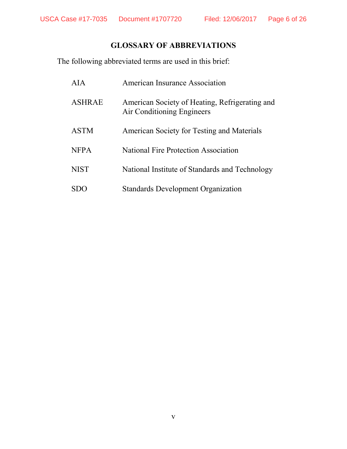## **GLOSSARY OF ABBREVIATIONS**

<span id="page-5-0"></span>The following abbreviated terms are used in this brief:

| AIA           | American Insurance Association                                               |
|---------------|------------------------------------------------------------------------------|
| <b>ASHRAE</b> | American Society of Heating, Refrigerating and<br>Air Conditioning Engineers |
| <b>ASTM</b>   | American Society for Testing and Materials                                   |
| <b>NFPA</b>   | National Fire Protection Association                                         |
| <b>NIST</b>   | National Institute of Standards and Technology                               |
|               | <b>Standards Development Organization</b>                                    |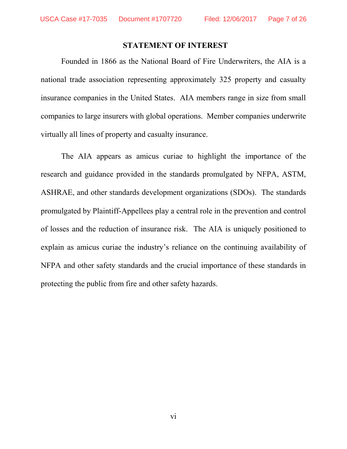#### **STATEMENT OF INTEREST**

<span id="page-6-0"></span>Founded in 1866 as the National Board of Fire Underwriters, the AIA is a national trade association representing approximately 325 property and casualty insurance companies in the United States. AIA members range in size from small companies to large insurers with global operations. Member companies underwrite virtually all lines of property and casualty insurance.

The AIA appears as amicus curiae to highlight the importance of the research and guidance provided in the standards promulgated by NFPA, ASTM, ASHRAE, and other standards development organizations (SDOs). The standards promulgated by Plaintiff-Appellees play a central role in the prevention and control of losses and the reduction of insurance risk. The AIA is uniquely positioned to explain as amicus curiae the industry's reliance on the continuing availability of NFPA and other safety standards and the crucial importance of these standards in protecting the public from fire and other safety hazards.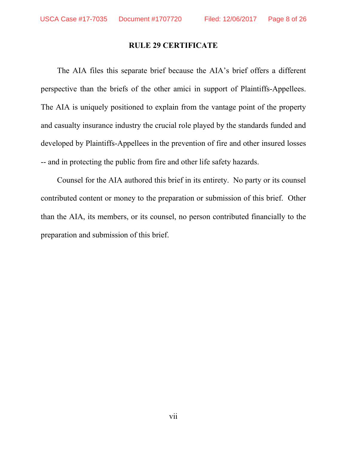#### **RULE 29 CERTIFICATE**

<span id="page-7-0"></span>The AIA files this separate brief because the AIA's brief offers a different perspective than the briefs of the other amici in support of Plaintiffs-Appellees. The AIA is uniquely positioned to explain from the vantage point of the property and casualty insurance industry the crucial role played by the standards funded and developed by Plaintiffs-Appellees in the prevention of fire and other insured losses -- and in protecting the public from fire and other life safety hazards.

Counsel for the AIA authored this brief in its entirety. No party or its counsel contributed content or money to the preparation or submission of this brief. Other than the AIA, its members, or its counsel, no person contributed financially to the preparation and submission of this brief.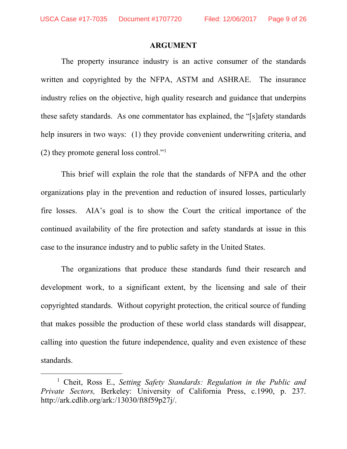#### **ARGUMENT**

<span id="page-8-0"></span>The property insurance industry is an active consumer of the standards written and copyrighted by the NFPA, ASTM and ASHRAE. The insurance industry relies on the objective, high quality research and guidance that underpins these safety standards. As one commentator has explained, the "[s]afety standards help insurers in two ways: (1) they provide convenient underwriting criteria, and (2) they promote general loss control.["1](#page-8-2)

This brief will explain the role that the standards of NFPA and the other organizations play in the prevention and reduction of insured losses, particularly fire losses. AIA's goal is to show the Court the critical importance of the continued availability of the fire protection and safety standards at issue in this case to the insurance industry and to public safety in the United States.

The organizations that produce these standards fund their research and development work, to a significant extent, by the licensing and sale of their copyrighted standards. Without copyright protection, the critical source of funding that makes possible the production of these world class standards will disappear, calling into question the future independence, quality and even existence of these standards.

<span id="page-8-2"></span><span id="page-8-1"></span> <sup>1</sup> Cheit, Ross E., *Setting Safety Standards: Regulation in the Public and Private Sectors,* Berkeley: University of California Press, c.1990, p. 237. http://ark.cdlib.org/ark:/13030/ft8f59p27j/.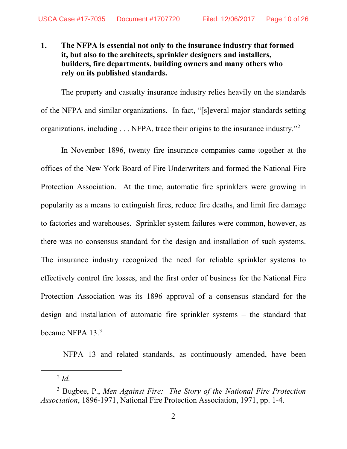### <span id="page-9-0"></span>**1. The NFPA is essential not only to the insurance industry that formed it, but also to the architects, sprinkler designers and installers, builders, fire departments, building owners and many others who rely on its published standards.**

The property and casualty insurance industry relies heavily on the standards of the NFPA and similar organizations. In fact, "[s]everal major standards setting organizations, including . . . NFPA, trace their origins to the insurance industry."[2](#page-9-2)

In November 1896, twenty fire insurance companies came together at the offices of the New York Board of Fire Underwriters and formed the National Fire Protection Association. At the time, automatic fire sprinklers were growing in popularity as a means to extinguish fires, reduce fire deaths, and limit fire damage to factories and warehouses. Sprinkler system failures were common, however, as there was no consensus standard for the design and installation of such systems. The insurance industry recognized the need for reliable sprinkler systems to effectively control fire losses, and the first order of business for the National Fire Protection Association was its 1896 approval of a consensus standard for the design and installation of automatic fire sprinkler systems – the standard that became NFPA 1[3](#page-9-3).<sup>3</sup>

NFPA 13 and related standards, as continuously amended, have been

<span id="page-9-1"></span> <sup>2</sup> *Id.*

<span id="page-9-3"></span><span id="page-9-2"></span><sup>3</sup> Bugbee, P., *Men Against Fire: The Story of the National Fire Protection Association*, 1896-1971, National Fire Protection Association, 1971, pp. 1-4.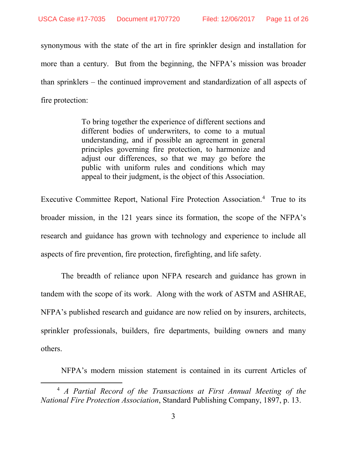synonymous with the state of the art in fire sprinkler design and installation for more than a century. But from the beginning, the NFPA's mission was broader than sprinklers – the continued improvement and standardization of all aspects of fire protection:

> To bring together the experience of different sections and different bodies of underwriters, to come to a mutual understanding, and if possible an agreement in general principles governing fire protection, to harmonize and adjust our differences, so that we may go before the public with uniform rules and conditions which may appeal to their judgment, is the object of this Association.

<span id="page-10-0"></span>Executive Committee Report, National Fire Protection Association.<sup>[4](#page-10-1)</sup> True to its broader mission, in the 121 years since its formation, the scope of the NFPA's research and guidance has grown with technology and experience to include all aspects of fire prevention, fire protection, firefighting, and life safety.

The breadth of reliance upon NFPA research and guidance has grown in tandem with the scope of its work. Along with the work of ASTM and ASHRAE, NFPA's published research and guidance are now relied on by insurers, architects, sprinkler professionals, builders, fire departments, building owners and many others.

NFPA's modern mission statement is contained in its current Articles of

<span id="page-10-1"></span> <sup>4</sup> *A Partial Record of the Transactions at First Annual Meeting of the National Fire Protection Association*, Standard Publishing Company, 1897, p. 13.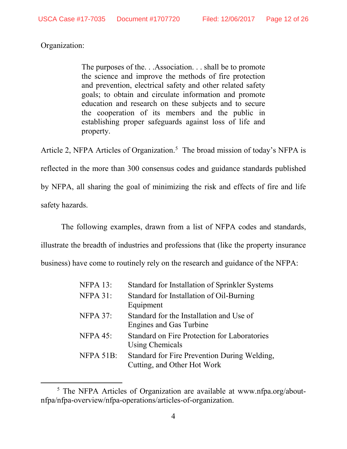Organization:

The purposes of the. . .Association. . . shall be to promote the science and improve the methods of fire protection and prevention, electrical safety and other related safety goals; to obtain and circulate information and promote education and research on these subjects and to secure the cooperation of its members and the public in establishing proper safeguards against loss of life and property.

Article 2, NFPA Articles of Organization.<sup>5</sup> The broad mission of today's NFPA is reflected in the more than 300 consensus codes and guidance standards published by NFPA, all sharing the goal of minimizing the risk and effects of fire and life safety hazards.

The following examples, drawn from a list of NFPA codes and standards,

illustrate the breadth of industries and professions that (like the property insurance

business) have come to routinely rely on the research and guidance of the NFPA:

| <b>NFPA 13:</b> | Standard for Installation of Sprinkler Systems                              |
|-----------------|-----------------------------------------------------------------------------|
| $NFPA$ 31:      | Standard for Installation of Oil-Burning<br>Equipment                       |
| <b>NFPA 37:</b> | Standard for the Installation and Use of<br><b>Engines and Gas Turbine</b>  |
| NFPA 45:        | Standard on Fire Protection for Laboratories<br>Using Chemicals             |
| NFPA 51B:       | Standard for Fire Prevention During Welding,<br>Cutting, and Other Hot Work |

<span id="page-11-1"></span><span id="page-11-0"></span><sup>&</sup>lt;sup>5</sup> The NFPA Articles of Organization are available at www.nfpa.org/aboutnfpa/nfpa-overview/nfpa-operations/articles-of-organization.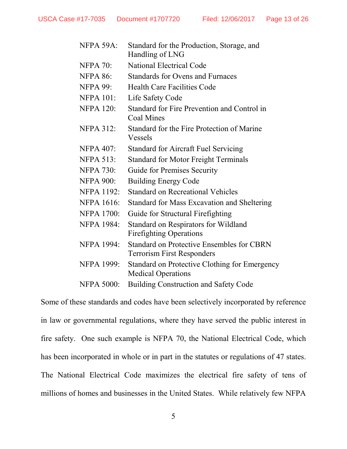| NFPA 59A:         | Standard for the Production, Storage, and<br>Handling of LNG                          |
|-------------------|---------------------------------------------------------------------------------------|
| <b>NFPA 70:</b>   | <b>National Electrical Code</b>                                                       |
| <b>NFPA 86:</b>   | <b>Standards for Ovens and Furnaces</b>                                               |
| <b>NFPA 99:</b>   | <b>Health Care Facilities Code</b>                                                    |
| <b>NFPA 101:</b>  | Life Safety Code                                                                      |
| <b>NFPA 120:</b>  | Standard for Fire Prevention and Control in<br><b>Coal Mines</b>                      |
| <b>NFPA 312:</b>  | Standard for the Fire Protection of Marine<br><b>Vessels</b>                          |
| <b>NFPA 407:</b>  | <b>Standard for Aircraft Fuel Servicing</b>                                           |
| <b>NFPA 513:</b>  | <b>Standard for Motor Freight Terminals</b>                                           |
| <b>NFPA 730:</b>  | <b>Guide for Premises Security</b>                                                    |
| <b>NFPA 900:</b>  | <b>Building Energy Code</b>                                                           |
| <b>NFPA 1192:</b> | Standard on Recreational Vehicles                                                     |
| <b>NFPA 1616:</b> | <b>Standard for Mass Excavation and Sheltering</b>                                    |
| <b>NFPA 1700:</b> | Guide for Structural Firefighting                                                     |
| <b>NFPA 1984:</b> | Standard on Respirators for Wildland<br><b>Firefighting Operations</b>                |
| <b>NFPA 1994:</b> | <b>Standard on Protective Ensembles for CBRN</b><br><b>Terrorism First Responders</b> |
| <b>NFPA 1999:</b> | Standard on Protective Clothing for Emergency<br><b>Medical Operations</b>            |
| <b>NFPA 5000:</b> | <b>Building Construction and Safety Code</b>                                          |

Some of these standards and codes have been selectively incorporated by reference in law or governmental regulations, where they have served the public interest in fire safety. One such example is NFPA 70, the National Electrical Code, which has been incorporated in whole or in part in the statutes or regulations of 47 states. The National Electrical Code maximizes the electrical fire safety of tens of millions of homes and businesses in the United States. While relatively few NFPA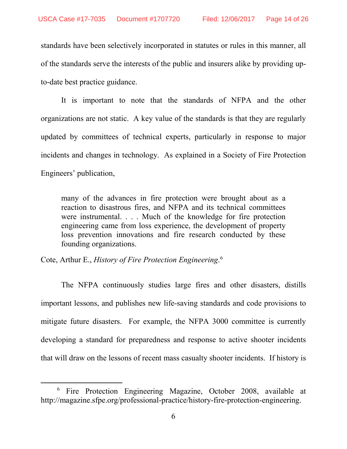standards have been selectively incorporated in statutes or rules in this manner, all of the standards serve the interests of the public and insurers alike by providing upto-date best practice guidance.

It is important to note that the standards of NFPA and the other organizations are not static. A key value of the standards is that they are regularly updated by committees of technical experts, particularly in response to major incidents and changes in technology. As explained in a Society of Fire Protection Engineers' publication,

many of the advances in fire protection were brought about as a reaction to disastrous fires, and NFPA and its technical committees were instrumental. . . . Much of the knowledge for fire protection engineering came from loss experience, the development of property loss prevention innovations and fire research conducted by these founding organizations.

<span id="page-13-0"></span>Cote, Arthur E., *History of Fire Protection Engineering*. [6](#page-13-1)

The NFPA continuously studies large fires and other disasters, distills important lessons, and publishes new life-saving standards and code provisions to mitigate future disasters. For example, the NFPA 3000 committee is currently developing a standard for preparedness and response to active shooter incidents that will draw on the lessons of recent mass casualty shooter incidents. If history is

<span id="page-13-1"></span> <sup>6</sup> Fire Protection Engineering Magazine, October 2008, available at http://magazine.sfpe.org/professional-practice/history-fire-protection-engineering.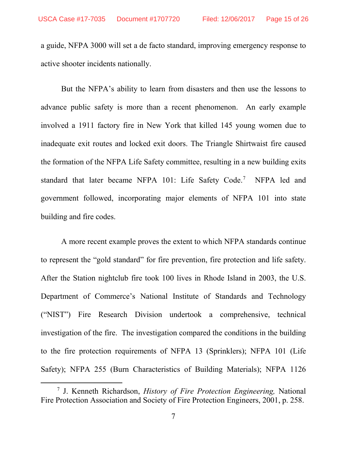a guide, NFPA 3000 will set a de facto standard, improving emergency response to active shooter incidents nationally.

But the NFPA's ability to learn from disasters and then use the lessons to advance public safety is more than a recent phenomenon. An early example involved a 1911 factory fire in New York that killed 145 young women due to inadequate exit routes and locked exit doors. The Triangle Shirtwaist fire caused the formation of the NFPA Life Safety committee, resulting in a new building exits standard that later became NFPA 101: Life Safety Code.<sup>[7](#page-14-1)</sup> NFPA led and government followed, incorporating major elements of NFPA 101 into state building and fire codes.

A more recent example proves the extent to which NFPA standards continue to represent the "gold standard" for fire prevention, fire protection and life safety. After the Station nightclub fire took 100 lives in Rhode Island in 2003, the U.S. Department of Commerce's National Institute of Standards and Technology ("NIST") Fire Research Division undertook a comprehensive, technical investigation of the fire. The investigation compared the conditions in the building to the fire protection requirements of NFPA 13 (Sprinklers); NFPA 101 (Life Safety); NFPA 255 (Burn Characteristics of Building Materials); NFPA 1126

<span id="page-14-1"></span><span id="page-14-0"></span> <sup>7</sup> J. Kenneth Richardson, *History of Fire Protection Engineering,* National Fire Protection Association and Society of Fire Protection Engineers, 2001, p. 258.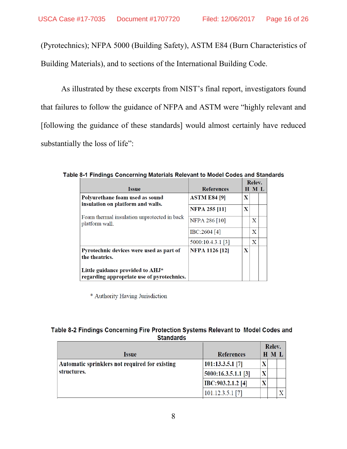(Pyrotechnics); NFPA 5000 (Building Safety), ASTM E84 (Burn Characteristics of Building Materials), and to sections of the International Building Code.

As illustrated by these excerpts from NIST's final report, investigators found that failures to follow the guidance of NFPA and ASTM were "highly relevant and [following the guidance of these standards] would almost certainly have reduced substantially the loss of life":

| <b>Issue</b>                                                                   | <b>References</b>     |   | Relev.<br>H M L |  |  |
|--------------------------------------------------------------------------------|-----------------------|---|-----------------|--|--|
| Polyurethane foam used as sound                                                | <b>ASTM E84 [9]</b>   | X |                 |  |  |
| insulation on platform and walls.                                              | <b>NFPA 255 [11]</b>  | X |                 |  |  |
| Foam thermal insulation unprotected in back<br>platform wall.                  | <b>NFPA 286 [10]</b>  |   | X               |  |  |
|                                                                                | IBC:2604[4]           |   | X               |  |  |
|                                                                                | 5000:10.4.3.1 [3]     |   | X               |  |  |
| Pyrotechnic devices were used as part of<br>the theatrics.                     | <b>NFPA 1126 [12]</b> | X |                 |  |  |
| Little guidance provided to AHJ*<br>regarding appropriate use of pyrotechnics. |                       |   |                 |  |  |

Table 8-1 Findings Concerning Materials Relevant to Model Codes and Standards

\* Authority Having Jurisdiction

#### Table 8-2 Findings Concerning Fire Protection Systems Relevant to Model Codes and **Standards**

|                                                |                     | Relev. |       |  |
|------------------------------------------------|---------------------|--------|-------|--|
| <i><u><b>Issue</b></u></i>                     | <b>References</b>   |        | H M L |  |
| Automatic sprinklers not required for existing | $101:13.3.5.1$ [7]  |        |       |  |
| structures.                                    | 5000:16.3.5.1.1 [3] |        |       |  |
|                                                | IBC:903.2.1.2 [4]   |        |       |  |
|                                                | $101.12.3.5.1$ [7]  |        |       |  |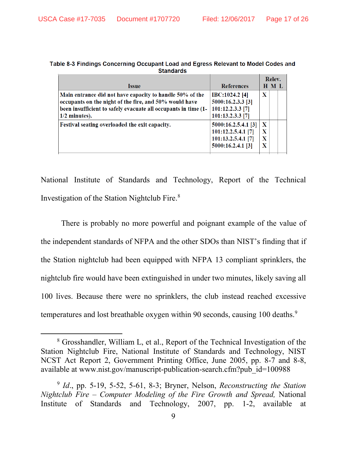| əlanuarus                                                                                                                                                                                               |                                                                                      |                                      |                 |
|---------------------------------------------------------------------------------------------------------------------------------------------------------------------------------------------------------|--------------------------------------------------------------------------------------|--------------------------------------|-----------------|
| <b>Issue</b>                                                                                                                                                                                            | <b>References</b>                                                                    |                                      | Relev.<br>H M L |
| Main entrance did not have capacity to handle 50% of the<br>occupants on the night of the fire, and 50% would have<br>been insufficient to safely evacuate all occupants in time (1-<br>$1/2$ minutes). | <b>IBC:1024.2</b> [4]<br>5000:16.2.3.3 [3]<br>101:12.2.3.3 [7]<br>101:13.2.3.3 [7]   | X                                    |                 |
| Festival seating overloaded the exit capacity.                                                                                                                                                          | 5000:16.2.5.4.1 [3]<br>101:12.2.5.4.1 [7]<br>101:13.2.5.4.1 [7]<br>5000:16.2.4.1 [3] | $\mathbf x$<br>$\mathbf X$<br>X<br>X |                 |

| Table 8-3 Findings Concerning Occupant Load and Egress Relevant to Model Codes and |                  |  |
|------------------------------------------------------------------------------------|------------------|--|
|                                                                                    | <b>Standards</b> |  |

National Institute of Standards and Technology, Report of the Technical Investigation of the Station Nightclub Fire. [8](#page-16-2)

There is probably no more powerful and poignant example of the value of the independent standards of NFPA and the other SDOs than NIST's finding that if the Station nightclub had been equipped with NFPA 13 compliant sprinklers, the nightclub fire would have been extinguished in under two minutes, likely saving all 100 lives. Because there were no sprinklers, the club instead reached excessive temperatures and lost breathable oxygen within [9](#page-16-3)0 seconds, causing 100 deaths.<sup>9</sup>

<span id="page-16-2"></span><span id="page-16-1"></span> <sup>8</sup> Grosshandler, William L, et al., Report of the Technical Investigation of the Station Nightclub Fire, National Institute of Standards and Technology, NIST NCST Act Report 2, Government Printing Office, June 2005, pp. 8-7 and 8-8, available at www.nist.gov/manuscript-publication-search.cfm?pub\_id=100988

<span id="page-16-3"></span><span id="page-16-0"></span><sup>9</sup> *Id*., pp. 5-19, 5-52, 5-61, 8-3; Bryner, Nelson, *Reconstructing the Station Nightclub Fire – Computer Modeling of the Fire Growth and Spread,* National Institute of Standards and Technology, 2007, pp. 1-2, available at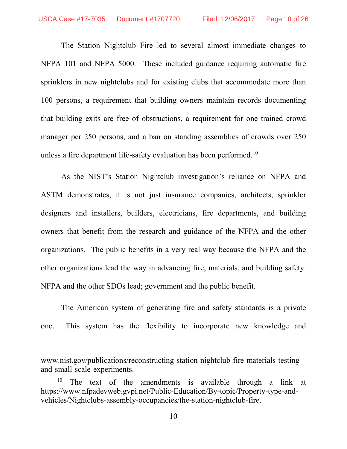The Station Nightclub Fire led to several almost immediate changes to NFPA 101 and NFPA 5000. These included guidance requiring automatic fire sprinklers in new nightclubs and for existing clubs that accommodate more than 100 persons, a requirement that building owners maintain records documenting that building exits are free of obstructions, a requirement for one trained crowd manager per 250 persons, and a ban on standing assemblies of crowds over 250 unless a fire department life-safety evaluation has been performed.<sup>[10](#page-17-1)</sup>

As the NIST's Station Nightclub investigation's reliance on NFPA and ASTM demonstrates, it is not just insurance companies, architects, sprinkler designers and installers, builders, electricians, fire departments, and building owners that benefit from the research and guidance of the NFPA and the other organizations. The public benefits in a very real way because the NFPA and the other organizations lead the way in advancing fire, materials, and building safety. NFPA and the other SDOs lead; government and the public benefit.

The American system of generating fire and safety standards is a private one. This system has the flexibility to incorporate new knowledge and

 $\overline{a}$ 

www.nist.gov/publications/reconstructing-station-nightclub-fire-materials-testingand-small-scale-experiments.

<span id="page-17-1"></span><span id="page-17-0"></span>The text of the amendments is available through a link at https://www.nfpadevweb.gvpi.net/Public-Education/By-topic/Property-type-andvehicles/Nightclubs-assembly-occupancies/the-station-nightclub-fire.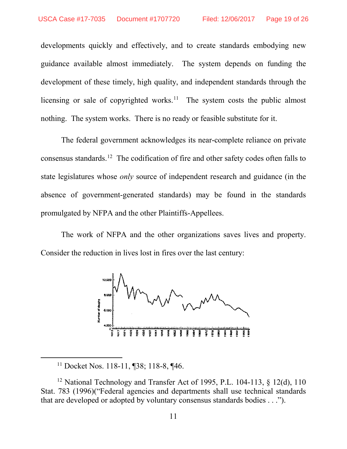developments quickly and effectively, and to create standards embodying new guidance available almost immediately. The system depends on funding the development of these timely, high quality, and independent standards through the licensing or sale of copyrighted works.<sup>[11](#page-18-1)</sup> The system costs the public almost nothing. The system works. There is no ready or feasible substitute for it.

The federal government acknowledges its near-complete reliance on private consensus standards.[12](#page-18-2) The codification of fire and other safety codes often falls to state legislatures whose *only* source of independent research and guidance (in the absence of government-generated standards) may be found in the standards promulgated by NFPA and the other Plaintiffs-Appellees.

The work of NFPA and the other organizations saves lives and property. Consider the reduction in lives lost in fires over the last century:



<span id="page-18-0"></span> <sup>11</sup> Docket Nos. 118-11, ¶38; 118-8, ¶46.

<span id="page-18-2"></span><span id="page-18-1"></span><sup>&</sup>lt;sup>12</sup> National Technology and Transfer Act of 1995, P.L. 104-113, § 12(d), 110 Stat. 783 (1996)("Federal agencies and departments shall use technical standards that are developed or adopted by voluntary consensus standards bodies . . .").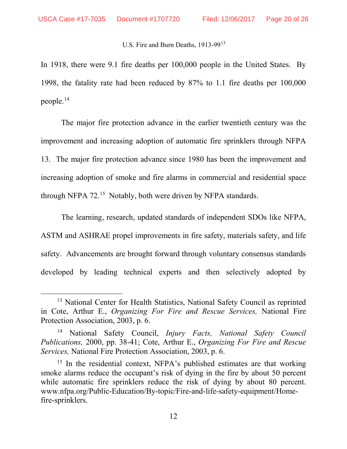#### U.S. Fire and Burn Deaths, 19[13](#page-19-3)-99<sup>13</sup>

In 1918, there were 9.1 fire deaths per 100,000 people in the United States. By 1998, the fatality rate had been reduced by 87% to 1.1 fire deaths per 100,000 people.[14](#page-19-4)

The major fire protection advance in the earlier twentieth century was the improvement and increasing adoption of automatic fire sprinklers through NFPA 13. The major fire protection advance since 1980 has been the improvement and increasing adoption of smoke and fire alarms in commercial and residential space through NFPA 72.<sup>15</sup> Notably, both were driven by NFPA standards.

The learning, research, updated standards of independent SDOs like NFPA, ASTM and ASHRAE propel improvements in fire safety, materials safety, and life safety. Advancements are brought forward through voluntary consensus standards developed by leading technical experts and then selectively adopted by

<span id="page-19-3"></span><span id="page-19-0"></span><sup>&</sup>lt;sup>13</sup> National Center for Health Statistics, National Safety Council as reprinted in Cote, Arthur E., *Organizing For Fire and Rescue Services,* National Fire Protection Association, 2003, p. 6.

<span id="page-19-4"></span><span id="page-19-2"></span><sup>14</sup> National Safety Council, *Injury Facts, National Safety Council Publications,* 2000, pp. 38-41; Cote, Arthur E., *Organizing For Fire and Rescue Services,* National Fire Protection Association, 2003, p. 6.

<span id="page-19-5"></span><span id="page-19-1"></span><sup>&</sup>lt;sup>15</sup> In the residential context, NFPA's published estimates are that working smoke alarms reduce the occupant's risk of dying in the fire by about 50 percent while automatic fire sprinklers reduce the risk of dying by about 80 percent. www.nfpa.org/Public-Education/By-topic/Fire-and-life-safety-equipment/Homefire-sprinklers.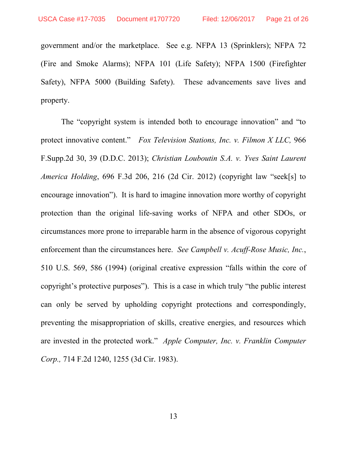government and/or the marketplace. See e.g. NFPA 13 (Sprinklers); NFPA 72 (Fire and Smoke Alarms); NFPA 101 (Life Safety); NFPA 1500 (Firefighter Safety), NFPA 5000 (Building Safety). These advancements save lives and property.

<span id="page-20-3"></span><span id="page-20-2"></span><span id="page-20-1"></span><span id="page-20-0"></span>The "copyright system is intended both to encourage innovation" and "to protect innovative content." *Fox Television Stations, Inc. v. Filmon X LLC,* 966 F.Supp.2d 30, 39 (D.D.C. 2013); *Christian Louboutin S.A. v. Yves Saint Laurent America Holding*, 696 F.3d 206, 216 (2d Cir. 2012) (copyright law "seek[s] to encourage innovation"). It is hard to imagine innovation more worthy of copyright protection than the original life-saving works of NFPA and other SDOs, or circumstances more prone to irreparable harm in the absence of vigorous copyright enforcement than the circumstances here. *See Campbell v. Acuff-Rose Music, Inc.*, 510 U.S. 569, 586 (1994) (original creative expression "falls within the core of copyright's protective purposes"). This is a case in which truly "the public interest can only be served by upholding copyright protections and correspondingly, preventing the misappropriation of skills, creative energies, and resources which are invested in the protected work." *Apple Computer, Inc. v. Franklin Computer Corp.,* 714 F.2d 1240, 1255 (3d Cir. 1983).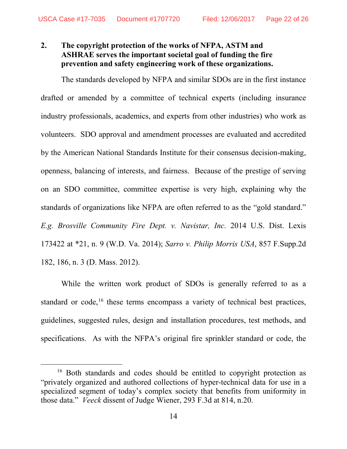## <span id="page-21-0"></span>**2. The copyright protection of the works of NFPA, ASTM and ASHRAE serves the important societal goal of funding the fire prevention and safety engineering work of these organizations.**

The standards developed by NFPA and similar SDOs are in the first instance drafted or amended by a committee of technical experts (including insurance industry professionals, academics, and experts from other industries) who work as volunteers. SDO approval and amendment processes are evaluated and accredited by the American National Standards Institute for their consensus decision-making, openness, balancing of interests, and fairness. Because of the prestige of serving on an SDO committee, committee expertise is very high, explaining why the standards of organizations like NFPA are often referred to as the "gold standard." *E.g. Brosville Community Fire Dept. v. Navistar, Inc.* 2014 U.S. Dist. Lexis 173422 at \*21, n. 9 (W.D. Va. 2014); *Sarro v. Philip Morris USA*, 857 F.Supp.2d 182, 186, n. 3 (D. Mass. 2012).

<span id="page-21-2"></span><span id="page-21-1"></span>While the written work product of SDOs is generally referred to as a standard or code, $16$  these terms encompass a variety of technical best practices, guidelines, suggested rules, design and installation procedures, test methods, and specifications. As with the NFPA's original fire sprinkler standard or code, the

<span id="page-21-4"></span><span id="page-21-3"></span><sup>&</sup>lt;sup>16</sup> Both standards and codes should be entitled to copyright protection as "privately organized and authored collections of hyper-technical data for use in a specialized segment of today's complex society that benefits from uniformity in those data." *Veeck* dissent of Judge Wiener, 293 F.3d at 814, n.20.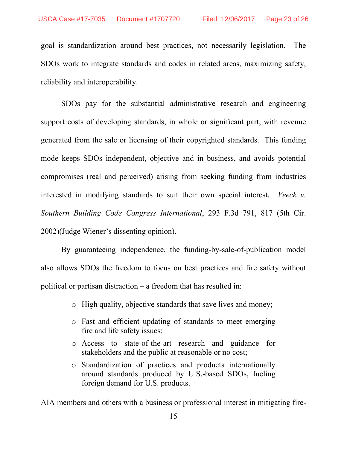goal is standardization around best practices, not necessarily legislation. The SDOs work to integrate standards and codes in related areas, maximizing safety, reliability and interoperability.

SDOs pay for the substantial administrative research and engineering support costs of developing standards, in whole or significant part, with revenue generated from the sale or licensing of their copyrighted standards. This funding mode keeps SDOs independent, objective and in business, and avoids potential compromises (real and perceived) arising from seeking funding from industries interested in modifying standards to suit their own special interest. *Veeck v. Southern Building Code Congress International*, 293 F.3d 791, 817 (5th Cir. 2002)(Judge Wiener's dissenting opinion).

By guaranteeing independence, the funding-by-sale-of-publication model also allows SDOs the freedom to focus on best practices and fire safety without political or partisan distraction – a freedom that has resulted in:

- <span id="page-22-0"></span>o High quality, objective standards that save lives and money;
- o Fast and efficient updating of standards to meet emerging fire and life safety issues;
- o Access to state-of-the-art research and guidance for stakeholders and the public at reasonable or no cost;
- o Standardization of practices and products internationally around standards produced by U.S.-based SDOs, fueling foreign demand for U.S. products.

AIA members and others with a business or professional interest in mitigating fire-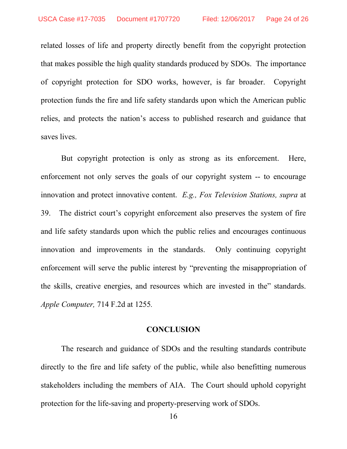related losses of life and property directly benefit from the copyright protection that makes possible the high quality standards produced by SDOs. The importance of copyright protection for SDO works, however, is far broader. Copyright protection funds the fire and life safety standards upon which the American public relies, and protects the nation's access to published research and guidance that saves lives.

But copyright protection is only as strong as its enforcement. Here, enforcement not only serves the goals of our copyright system -- to encourage innovation and protect innovative content. *E.g., Fox Television Stations, supra* at 39. The district court's copyright enforcement also preserves the system of fire and life safety standards upon which the public relies and encourages continuous innovation and improvements in the standards. Only continuing copyright enforcement will serve the public interest by "preventing the misappropriation of the skills, creative energies, and resources which are invested in the" standards. *Apple Computer,* 714 F.2d at 1255*.*

#### <span id="page-23-2"></span>**CONCLUSION**

<span id="page-23-1"></span><span id="page-23-0"></span>The research and guidance of SDOs and the resulting standards contribute directly to the fire and life safety of the public, while also benefitting numerous stakeholders including the members of AIA. The Court should uphold copyright protection for the life-saving and property-preserving work of SDOs.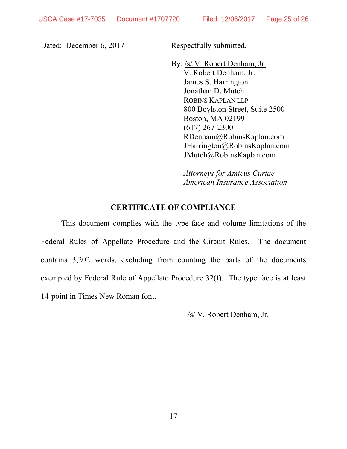Dated: December 6, 2017 Respectfully submitted,

By: /s/ V. Robert Denham, Jr. V. Robert Denham, Jr. James S. Harrington Jonathan D. Mutch ROBINS KAPLAN LLP 800 Boylston Street, Suite 2500 Boston, MA 02199 (617) 267-2300 RDenham@RobinsKaplan.com JHarrington@RobinsKaplan.com JMutch@RobinsKaplan.com

*Attorneys for Amicus Curiae American Insurance Association*

#### **CERTIFICATE OF COMPLIANCE**

<span id="page-24-0"></span>This document complies with the type-face and volume limitations of the Federal Rules of Appellate Procedure and the Circuit Rules. The document contains 3,202 words, excluding from counting the parts of the documents exempted by Federal Rule of Appellate Procedure 32(f). The type face is at least 14-point in Times New Roman font.

/s/ V. Robert Denham, Jr.